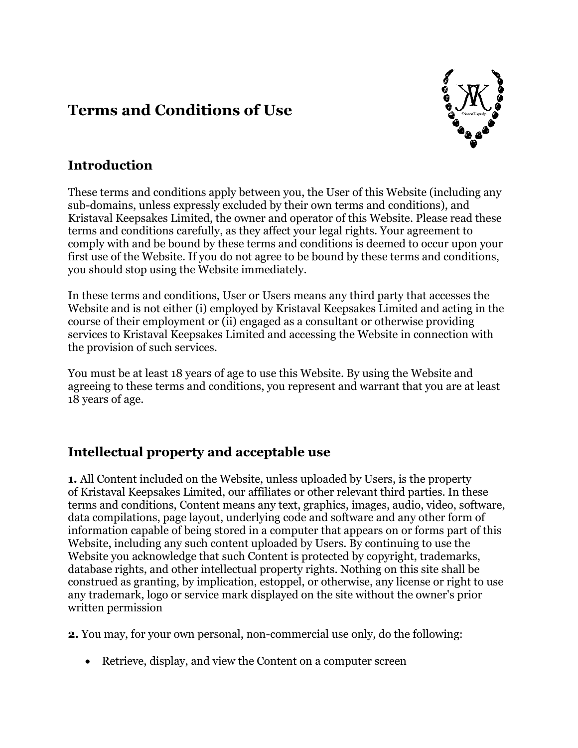# **Terms and Conditions of Use**



#### **Introduction**

These terms and conditions apply between you, the User of this Website (including any sub-domains, unless expressly excluded by their own terms and conditions), and Kristaval Keepsakes Limited, the owner and operator of this Website. Please read these terms and conditions carefully, as they affect your legal rights. Your agreement to comply with and be bound by these terms and conditions is deemed to occur upon your first use of the Website. If you do not agree to be bound by these terms and conditions, you should stop using the Website immediately.

In these terms and conditions, User or Users means any third party that accesses the Website and is not either (i) employed by Kristaval Keepsakes Limited and acting in the course of their employment or (ii) engaged as a consultant or otherwise providing services to Kristaval Keepsakes Limited and accessing the Website in connection with the provision of such services.

You must be at least 18 years of age to use this Website. By using the Website and agreeing to these terms and conditions, you represent and warrant that you are at least 18 years of age.

## **Intellectual property and acceptable use**

**1.** All Content included on the Website, unless uploaded by Users, is the property of Kristaval Keepsakes Limited, our affiliates or other relevant third parties. In these terms and conditions, Content means any text, graphics, images, audio, video, software, data compilations, page layout, underlying code and software and any other form of information capable of being stored in a computer that appears on or forms part of this Website, including any such content uploaded by Users. By continuing to use the Website you acknowledge that such Content is protected by copyright, trademarks, database rights, and other intellectual property rights. Nothing on this site shall be construed as granting, by implication, estoppel, or otherwise, any license or right to use any trademark, logo or service mark displayed on the site without the owner's prior written permission

**2.** You may, for your own personal, non-commercial use only, do the following:

• Retrieve, display, and view the Content on a computer screen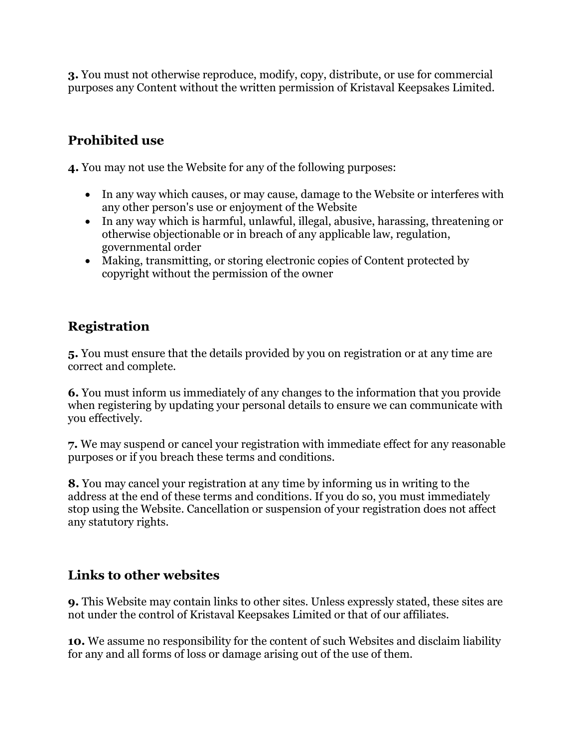**3.** You must not otherwise reproduce, modify, copy, distribute, or use for commercial purposes any Content without the written permission of Kristaval Keepsakes Limited.

## **Prohibited use**

**4.** You may not use the Website for any of the following purposes:

- In any way which causes, or may cause, damage to the Website or interferes with any other person's use or enjoyment of the Website
- In any way which is harmful, unlawful, illegal, abusive, harassing, threatening or otherwise objectionable or in breach of any applicable law, regulation, governmental order
- Making, transmitting, or storing electronic copies of Content protected by copyright without the permission of the owner

# **Registration**

**5.** You must ensure that the details provided by you on registration or at any time are correct and complete.

**6.** You must inform us immediately of any changes to the information that you provide when registering by updating your personal details to ensure we can communicate with you effectively.

**7.** We may suspend or cancel your registration with immediate effect for any reasonable purposes or if you breach these terms and conditions.

**8.** You may cancel your registration at any time by informing us in writing to the address at the end of these terms and conditions. If you do so, you must immediately stop using the Website. Cancellation or suspension of your registration does not affect any statutory rights.

#### **Links to other websites**

**9.** This Website may contain links to other sites. Unless expressly stated, these sites are not under the control of Kristaval Keepsakes Limited or that of our affiliates.

**10.** We assume no responsibility for the content of such Websites and disclaim liability for any and all forms of loss or damage arising out of the use of them.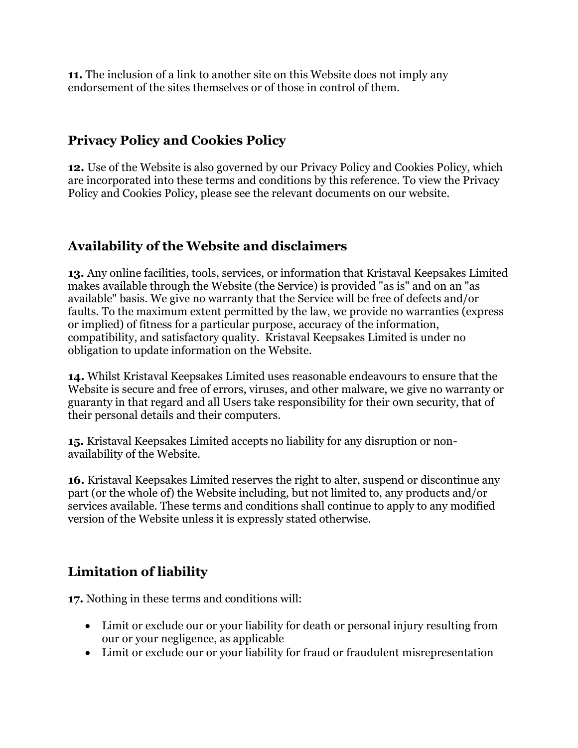**11.** The inclusion of a link to another site on this Website does not imply any endorsement of the sites themselves or of those in control of them.

#### **Privacy Policy and Cookies Policy**

**12.** Use of the Website is also governed by our Privacy Policy and Cookies Policy, which are incorporated into these terms and conditions by this reference. To view the Privacy Policy and Cookies Policy, please see the relevant documents on our website.

#### **Availability of the Website and disclaimers**

**13.** Any online facilities, tools, services, or information that Kristaval Keepsakes Limited makes available through the Website (the Service) is provided "as is" and on an "as available" basis. We give no warranty that the Service will be free of defects and/or faults. To the maximum extent permitted by the law, we provide no warranties (express or implied) of fitness for a particular purpose, accuracy of the information, compatibility, and satisfactory quality. Kristaval Keepsakes Limited is under no obligation to update information on the Website.

**14.** Whilst Kristaval Keepsakes Limited uses reasonable endeavours to ensure that the Website is secure and free of errors, viruses, and other malware, we give no warranty or guaranty in that regard and all Users take responsibility for their own security, that of their personal details and their computers.

**15.** Kristaval Keepsakes Limited accepts no liability for any disruption or nonavailability of the Website.

**16.** Kristaval Keepsakes Limited reserves the right to alter, suspend or discontinue any part (or the whole of) the Website including, but not limited to, any products and/or services available. These terms and conditions shall continue to apply to any modified version of the Website unless it is expressly stated otherwise.

#### **Limitation of liability**

**17.** Nothing in these terms and conditions will:

- Limit or exclude our or your liability for death or personal injury resulting from our or your negligence, as applicable
- Limit or exclude our or your liability for fraud or fraudulent misrepresentation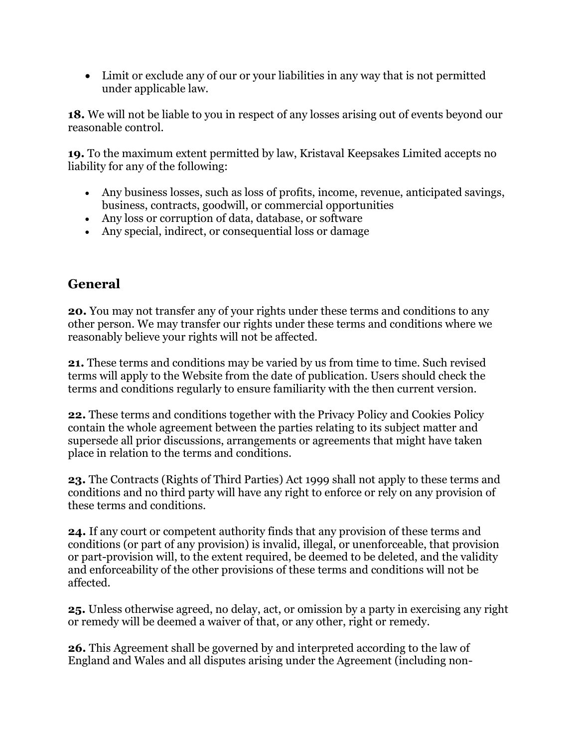• Limit or exclude any of our or your liabilities in any way that is not permitted under applicable law.

**18.** We will not be liable to you in respect of any losses arising out of events beyond our reasonable control.

**19.** To the maximum extent permitted by law, Kristaval Keepsakes Limited accepts no liability for any of the following:

- Any business losses, such as loss of profits, income, revenue, anticipated savings, business, contracts, goodwill, or commercial opportunities
- Any loss or corruption of data, database, or software
- Any special, indirect, or consequential loss or damage

### **General**

**20.** You may not transfer any of your rights under these terms and conditions to any other person. We may transfer our rights under these terms and conditions where we reasonably believe your rights will not be affected.

**21.** These terms and conditions may be varied by us from time to time. Such revised terms will apply to the Website from the date of publication. Users should check the terms and conditions regularly to ensure familiarity with the then current version.

**22.** These terms and conditions together with the Privacy Policy and Cookies Policy contain the whole agreement between the parties relating to its subject matter and supersede all prior discussions, arrangements or agreements that might have taken place in relation to the terms and conditions.

**23.** The Contracts (Rights of Third Parties) Act 1999 shall not apply to these terms and conditions and no third party will have any right to enforce or rely on any provision of these terms and conditions.

**24.** If any court or competent authority finds that any provision of these terms and conditions (or part of any provision) is invalid, illegal, or unenforceable, that provision or part-provision will, to the extent required, be deemed to be deleted, and the validity and enforceability of the other provisions of these terms and conditions will not be affected.

**25.** Unless otherwise agreed, no delay, act, or omission by a party in exercising any right or remedy will be deemed a waiver of that, or any other, right or remedy.

**26.** This Agreement shall be governed by and interpreted according to the law of England and Wales and all disputes arising under the Agreement (including non